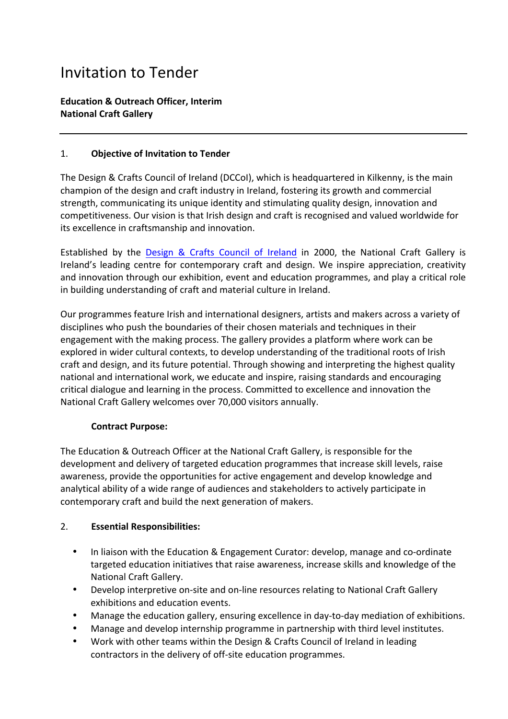# Invitation to Tender

## **Education & Outreach Officer, Interim National Craft Gallery**

#### 1. **Objective of Invitation to Tender**

The Design & Crafts Council of Ireland (DCCoI), which is headquartered in Kilkenny, is the main champion of the design and craft industry in Ireland, fostering its growth and commercial strength, communicating its unique identity and stimulating quality design, innovation and competitiveness. Our vision is that Irish design and craft is recognised and valued worldwide for its excellence in craftsmanship and innovation.

Established by the Design & Crafts Council of Ireland in 2000, the National Craft Gallery is Ireland's leading centre for contemporary craft and design. We inspire appreciation, creativity and innovation through our exhibition, event and education programmes, and play a critical role in building understanding of craft and material culture in Ireland.

Our programmes feature Irish and international designers, artists and makers across a variety of disciplines who push the boundaries of their chosen materials and techniques in their engagement with the making process. The gallery provides a platform where work can be explored in wider cultural contexts, to develop understanding of the traditional roots of Irish craft and design, and its future potential. Through showing and interpreting the highest quality national and international work, we educate and inspire, raising standards and encouraging critical dialogue and learning in the process. Committed to excellence and innovation the National Craft Gallery welcomes over 70,000 visitors annually.

#### **Contract Purpose:**

The Education & Outreach Officer at the National Craft Gallery, is responsible for the development and delivery of targeted education programmes that increase skill levels, raise awareness, provide the opportunities for active engagement and develop knowledge and analytical ability of a wide range of audiences and stakeholders to actively participate in contemporary craft and build the next generation of makers.

# 2. **Essential Responsibilities:**

- In liaison with the Education & Engagement Curator: develop, manage and co-ordinate targeted education initiatives that raise awareness, increase skills and knowledge of the National Craft Gallery.
- Develop interpretive on-site and on-line resources relating to National Craft Gallery exhibitions and education events.
- Manage the education gallery, ensuring excellence in day-to-day mediation of exhibitions.
- Manage and develop internship programme in partnership with third level institutes.
- Work with other teams within the Design & Crafts Council of Ireland in leading contractors in the delivery of off-site education programmes.